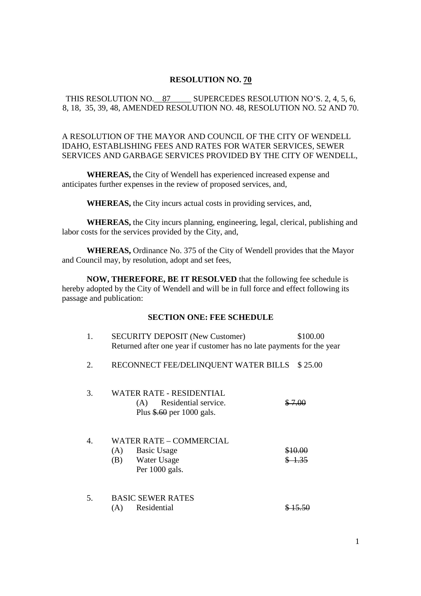## **RESOLUTION NO. 70**

## THIS RESOLUTION NO. 87 SUPERCEDES RESOLUTION NO'S. 2, 4, 5, 6, 8, 18, 35, 39, 48, AMENDED RESOLUTION NO. 48, RESOLUTION NO. 52 AND 70.

# A RESOLUTION OF THE MAYOR AND COUNCIL OF THE CITY OF WENDELL IDAHO, ESTABLISHING FEES AND RATES FOR WATER SERVICES, SEWER SERVICES AND GARBAGE SERVICES PROVIDED BY THE CITY OF WENDELL,

**WHEREAS,** the City of Wendell has experienced increased expense and anticipates further expenses in the review of proposed services, and,

**WHEREAS,** the City incurs actual costs in providing services, and,

**WHEREAS,** the City incurs planning, engineering, legal, clerical, publishing and labor costs for the services provided by the City, and,

**WHEREAS,** Ordinance No. 375 of the City of Wendell provides that the Mayor and Council may, by resolution, adopt and set fees,

**NOW, THEREFORE, BE IT RESOLVED** that the following fee schedule is hereby adopted by the City of Wendell and will be in full force and effect following its passage and publication:

#### **SECTION ONE: FEE SCHEDULE**

| 1. | <b>SECURITY DEPOSIT (New Customer)</b><br>Returned after one year if customer has no late payments for the year | \$100.00 |
|----|-----------------------------------------------------------------------------------------------------------------|----------|
| 2. | RECONNECT FEE/DELINQUENT WATER BILLS \$25.00                                                                    |          |
| 3. | WATER RATE - RESIDENTIAL<br>Residential service.<br>(A)<br>Plus $\frac{60}{60}$ per 1000 gals.                  |          |
| 4. | WATER RATE – COMMERCIAL<br><b>Basic Usage</b><br>(A)<br>Water Usage<br>(B)<br>Per 1000 gals.                    |          |
| 5. | <b>BASIC SEWER RATES</b><br>Residential<br>(A)                                                                  |          |